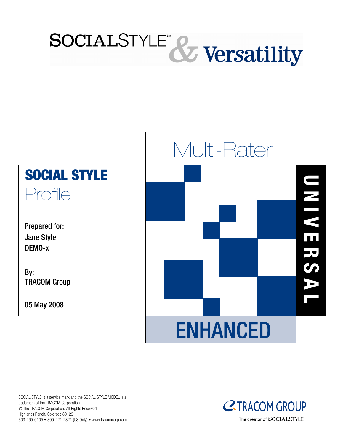



SOCIAL STYLE is a service mark and the SOCIAL STYLE MODEL is a trademark of the TRACOM Corporation. © The TRACOM Corporation. All Rights Reserved. Highlands Ranch, Colorado 80129 303-265-6105 • 800-221-2321 (US Only) • www.tracomcorp.com

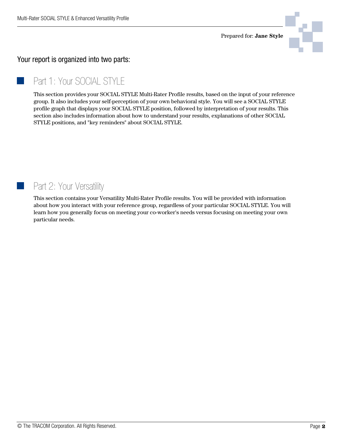

### Your report is organized into two parts:

# Part 1: Your SOCIAL STYLE

This section provides your SOCIAL STYLE Multi-Rater Profile results, based on the input of your reference group. It also includes your self-perception of your own behavioral style. You will see a SOCIAL STYLE profile graph that displays your SOCIAL STYLE position, followed by interpretation of your results. This section also includes information about how to understand your results, explanations of other SOCIAL STYLE positions, and "key reminders" about SOCIAL STYLE.

# Part 2: Your Versatility

This section contains your Versatility Multi-Rater Profile results. You will be provided with information about how you interact with your reference group, regardless of your particular SOCIAL STYLE. You will learn how you generally focus on meeting your co-worker's needs versus focusing on meeting your own particular needs.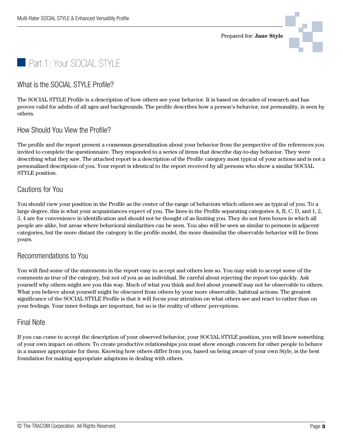





#### What is the SOCIAL STYLE Profile?

The SOCIAL STYLE Profile is a description of how others see your behavior. It is based on decades of research and has proven valid for adults of all ages and backgrounds. The profile describes how a person's behavior, not personality, is seen by others.

#### How Should You View the Profile?

The profile and the report present a consensus generalization about your behavior from the perspective of the references you invited to complete the questionnaire. They responded to a series of items that describe day-to-day behavior. They were describing what they saw. The attached report is a description of the Profile category most typical of your actions and is not a personalized description of you. Your report is identical to the report received by all persons who show a similar SOCIAL STYLE position.

#### Cautions for You

You should view your position in the Profile as the center of the range of behaviors which others see as typical of you. To a large degree, this is what your acquaintances expect of you. The lines in the Profile separating categories A, B, C, D, and 1, 2, 3, 4 are for convenience in identification and should not be thought of as limiting you. They do not form boxes in which all people are alike, but areas where behavioral similarities can be seen. You also will be seen as similar to persons in adjacent categories, but the more distant the category in the profile model, the more dissimilar the observable behavior will be from yours.

#### Recommendations to You

You will find some of the statements in the report easy to accept and others less so. You may wish to accept some of the comments as true of the category, but not of you as an individual. Be careful about rejecting the report too quickly. Ask yourself why others might see you this way. Much of what you think and feel about yourself may not be observable to others. What you believe about yourself might be obscured from others by your more observable, habitual actions. The greatest significance of the SOCIAL STYLE Profile is that it will focus your attention on what others see and react to rather than on your feelings. Your inner feelings are important, but so is the reality of others' perceptions.

#### Final Note

If you can come to accept the description of your observed behavior, your SOCIAL STYLE position, you will know something of your own impact on others. To create productive relationships you must show enough concern for other people to behave in a manner appropriate for them. Knowing how others differ from you, based on being aware of your own Style, is the best foundation for making appropriate adaptions in dealing with others.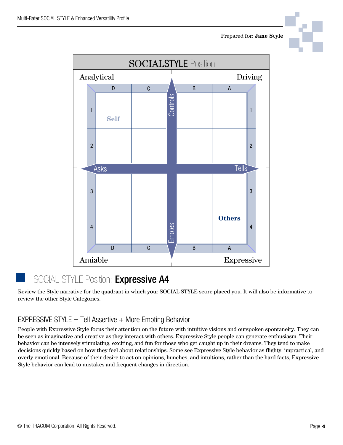





# SOCIAL STYLE Position: Expressive A4

Review the Style narrative for the quadrant in which your SOCIAL STYLE score placed you. It will also be informative to review the other Style Categories.

### EXPRESSIVE STYLE  $=$  Tell Assertive  $+$  More Emoting Behavior

People with Expressive Style focus their attention on the future with intuitive visions and outspoken spontaneity. They can be seen as imaginative and creative as they interact with others. Expressive Style people can generate enthusiasm. Their behavior can be intensely stimulating, exciting, and fun for those who get caught up in their dreams. They tend to make decisions quickly based on how they feel about relationships. Some see Expressive Style behavior as flighty, impractical, and overly emotional. Because of their desire to act on opinions, hunches, and intuitions, rather than the hard facts, Expressive Style behavior can lead to mistakes and frequent changes in direction.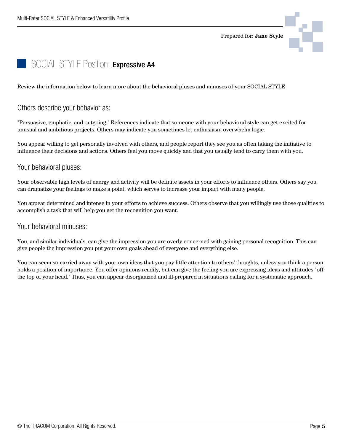Prepared for: **Jane Style**



# SOCIAL STYLE Position: Expressive A4

Review the information below to learn more about the behavioral pluses and minuses of your SOCIAL STYLE

#### Others describe your behavior as:

"Persuasive, emphatic, and outgoing." References indicate that someone with your behavioral style can get excited for unusual and ambitious projects. Others may indicate you sometimes let enthusiasm overwhelm logic.

You appear willing to get personally involved with others, and people report they see you as often taking the initiative to influence their decisions and actions. Others feel you move quickly and that you usually tend to carry them with you.

#### Your behavioral pluses:

Your observable high levels of energy and activity will be definite assets in your efforts to influence others. Others say you can dramatize your feelings to make a point, which serves to increase your impact with many people.

You appear determined and intense in your efforts to achieve success. Others observe that you willingly use those qualities to accomplish a task that will help you get the recognition you want.

#### Your behavioral minuses:

You, and similar individuals, can give the impression you are overly concerned with gaining personal recognition. This can give people the impression you put your own goals ahead of everyone and everything else.

You can seem so carried away with your own ideas that you pay little attention to others' thoughts, unless you think a person holds a position of importance. You offer opinions readily, but can give the feeling you are expressing ideas and attitudes "off the top of your head." Thus, you can appear disorganized and ill-prepared in situations calling for a systematic approach.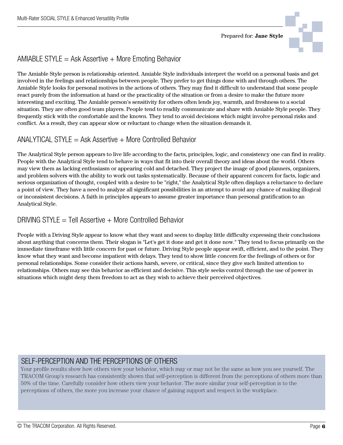

# $AMIABLE$  STYLE = Ask Assertive  $+$  More Emoting Behavior

The Amiable Style person is relationship oriented. Amiable Style individuals interpret the world on a personal basis and get involved in the feelings and relationships between people. They prefer to get things done with and through others. The Amiable Style looks for personal motives in the actions of others. They may find it difficult to understand that some people react purely from the information at hand or the practicality of the situation or from a desire to make the future more interesting and exciting. The Amiable person's sensitivity for others often lends joy, warmth, and freshness to a social situation. They are often good team players. People tend to readily communicate and share with Amiable Style people. They frequently stick with the comfortable and the known. They tend to avoid decisions which might involve personal risks and conflict. As a result, they can appear slow or reluctant to change when the situation demands it.

### ANALYTICAL STYLE  $=$  Ask Assertive  $+$  More Controlled Behavior

The Analytical Style person appears to live life according to the facts, principles, logic, and consistency one can find in reality. People with the Analytical Style tend to behave in ways that fit into their overall theory and ideas about the world. Others may view them as lacking enthusiasm or appearing cold and detached. They project the image of good planners, organizers, and problem solvers with the ability to work out tasks systematically. Because of their apparent concern for facts, logic and serious organization of thought, coupled with a desire to be "right," the Analytical Style often displays a reluctance to declare a point of view. They have a need to analyze all significant possibilities in an attempt to avoid any chance of making illogical or inconsistent decisions. A faith in principles appears to assume greater importance than personal gratification to an Analytical Style.

## DRIVING STYLE  $=$  Tell Assertive  $+$  More Controlled Behavior

People with a Driving Style appear to know what they want and seem to display little difficulty expressing their conclusions about anything that concerns them. Their slogan is "Let's get it done and get it done now." They tend to focus primarily on the immediate timeframe with little concern for past or future. Driving Style people appear swift, efficient, and to the point. They know what they want and become impatient with delays. They tend to show little concern for the feelings of others or for personal relationships. Some consider their actions harsh, severe, or critical, since they give such limited attention to relationships. Others may see this behavior as efficient and decisive. This style seeks control through the use of power in situations which might deny them freedom to act as they wish to achieve their perceived objectives.

# SELF-PERCEPTION AND THE PERCEPTIONS OF OTHERS

Your profile results show how others view your behavior, which may or may not be the same as how you see yourself. The TRACOM Group's research has consistently shown that self-perception is different from the perceptions of others more than 50% of the time. Carefully consider how others view your behavior. The more similar your self-perception is to the perceptions of others, the more you increase your chance of gaining support and respect in the workplace.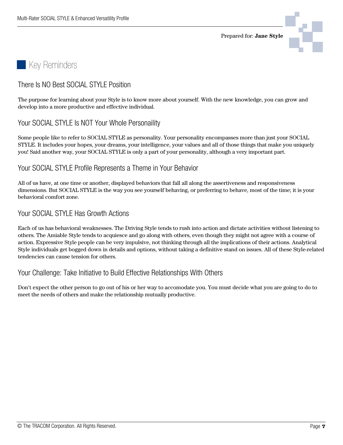Prepared for: **Jane Style**



# Key Reminders

### There Is NO Best SOCIAL STYLE Position

The purpose for learning about your Style is to know more about yourself. With the new knowledge, you can grow and develop into a more productive and effective individual.

#### Your SOCIAL STYLE Is NOT Your Whole Personaility

Some people like to refer to SOCIAL STYLE as personality. Your personality encompasses more than just your SOCIAL STYLE. It includes your hopes, your dreams, your intelligence, your values and all of those things that make you uniquely you! Said another way, your SOCIAL STYLE is only a part of your personality, although a very important part.

#### Your SOCIAL STYLE Profile Represents a Theme in Your Behavior

All of us have, at one time or another, displayed behaviors that fall all along the assertiveness and responsiveness dimensions. But SOCIAL STYLE is the way you see yourself behaving, or preferring to behave, most of the time; it is your behavioral comfort zone.

#### Your SOCIAL STYLE Has Growth Actions

Each of us has behavioral weaknesses. The Driving Style tends to rush into action and dictate activities without listening to others. The Amiable Style tends to acquiesce and go along with others, even though they might not agree with a course of action. Expressive Style people can be very impulsive, not thinking through all the implications of their actions. Analytical Style individuals get bogged down in details and options, without taking a definitive stand on issues. All of these Style-related tendencies can cause tension for others.

#### Your Challenge: Take Initiative to Build Effective Relationships With Others

Don't expect the other person to go out of his or her way to accomodate you. You must decide what you are going to do to meet the needs of others and make the relationship mutually productive.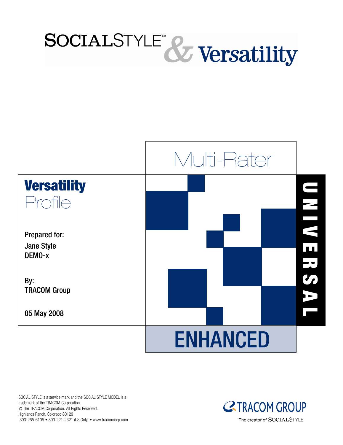



SOCIAL STYLE is a service mark and the SOCIAL STYLE MODEL is a trademark of the TRACOM Corporation. © The TRACOM Corporation. All Rights Reserved. Highlands Ranch, Colorado 80129 303-265-6105 • 800-221-2321 (US Only) • www.tracomcorp.com

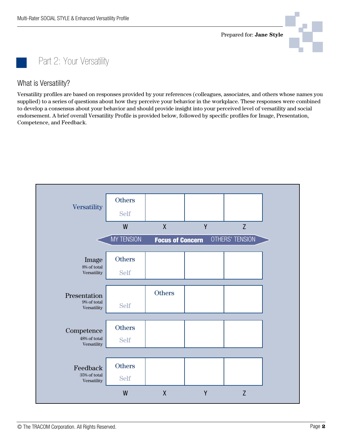

Part 2: Your Versatility

What is Versatility?

Versatility profiles are based on responses provided by your references (colleagues, associates, and others whose names you supplied) to a series of questions about how they perceive your behavior in the workplace. These responses were combined to develop a consensus about your behavior and should provide insight into your perceived level of versatility and social endorsement. A brief overall Versatility Profile is provided below, followed by specific profiles for Image, Presentation, Competence, and Feedback.

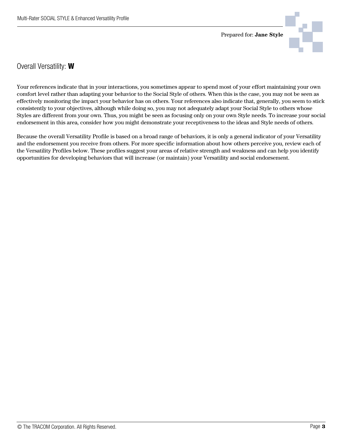

Overall Versatility: **W**

Your references indicate that in your interactions, you sometimes appear to spend most of your effort maintaining your own comfort level rather than adapting your behavior to the Social Style of others. When this is the case, you may not be seen as effectively monitoring the impact your behavior has on others. Your references also indicate that, generally, you seem to stick consistently to your objectives, although while doing so, you may not adequately adapt your Social Style to others whose Styles are different from your own. Thus, you might be seen as focusing only on your own Style needs. To increase your social endorsement in this area, consider how you might demonstrate your receptiveness to the ideas and Style needs of others.

Because the overall Versatility Profile is based on a broad range of behaviors, it is only a general indicator of your Versatility and the endorsement you receive from others. For more specific information about how others perceive you, review each of the Versatility Profiles below. These profiles suggest your areas of relative strength and weakness and can help you identify opportunities for developing behaviors that will increase (or maintain) your Versatility and social endorsement.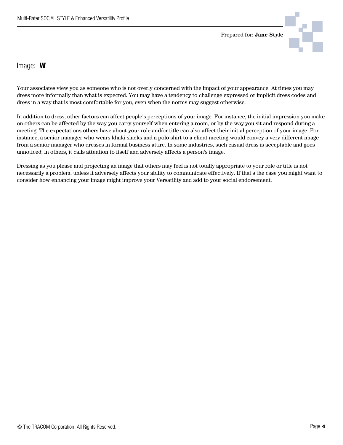

Image: **W**

Your associates view you as someone who is not overly concerned with the impact of your appearance. At times you may dress more informally than what is expected. You may have a tendency to challenge expressed or implicit dress codes and dress in a way that is most comfortable for you, even when the norms may suggest otherwise.

In addition to dress, other factors can affect people's perceptions of your image. For instance, the initial impression you make on others can be affected by the way you carry yourself when entering a room, or by the way you sit and respond during a meeting. The expectations others have about your role and/or title can also affect their initial perception of your image. For instance, a senior manager who wears khaki slacks and a polo shirt to a client meeting would convey a very different image from a senior manager who dresses in formal business attire. In some industries, such casual dress is acceptable and goes unnoticed; in others, it calls attention to itself and adversely affects a person's image.

Dressing as you please and projecting an image that others may feel is not totally appropriate to your role or title is not necessarily a problem, unless it adversely affects your ability to communicate effectively. If that's the case you might want to consider how enhancing your image might improve your Versatility and add to your social endorsement.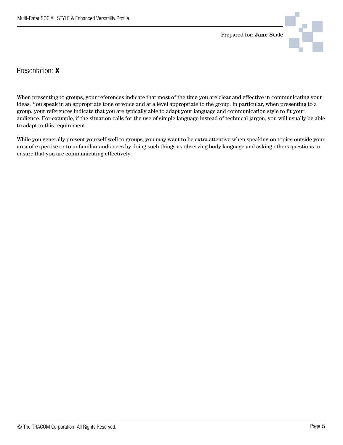

Presentation: **X**

When presenting to groups, your references indicate that most of the time you are clear and effective in communicating your ideas. You speak in an appropriate tone of voice and at a level appropriate to the group. In particular, when presenting to a group, your references indicate that you are typically able to adapt your language and communication style to fit your audience. For example, if the situation calls for the use of simple language instead of technical jargon, you will usually be able to adapt to this requirement.

While you generally present yourself well to groups, you may want to be extra attentive when speaking on topics outside your area of expertise or to unfamiliar audiences by doing such things as observing body language and asking others questions to ensure that you are communicating effectively.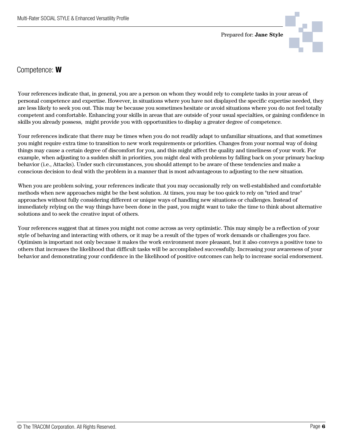



Competence: **W**

Your references indicate that, in general, you are a person on whom they would rely to complete tasks in your areas of personal competence and expertise. However, in situations where you have not displayed the specific expertise needed, they are less likely to seek you out. This may be because you sometimes hesitate or avoid situations where you do not feel totally competent and comfortable. Enhancing your skills in areas that are outside of your usual specialties, or gaining confidence in skills you already possess, might provide you with opportunities to display a greater degree of competence.

Your references indicate that there may be times when you do not readily adapt to unfamiliar situations, and that sometimes you might require extra time to transition to new work requirements or priorities. Changes from your normal way of doing things may cause a certain degree of discomfort for you, and this might affect the quality and timeliness of your work. For example, when adjusting to a sudden shift in priorities, you might deal with problems by falling back on your primary backup behavior (i.e., Attacks). Under such circumstances, you should attempt to be aware of these tendencies and make a conscious decision to deal with the problem in a manner that is most advantageous to adjusting to the new situation.

When you are problem solving, your references indicate that you may occasionally rely on well-established and comfortable methods when new approaches might be the best solution. At times, you may be too quick to rely on "tried and true" approaches without fully considering different or unique ways of handling new situations or challenges. Instead of immediately relying on the way things have been done in the past, you might want to take the time to think about alternative solutions and to seek the creative input of others.

Your references suggest that at times you might not come across as very optimistic. This may simply be a reflection of your style of behaving and interacting with others, or it may be a result of the types of work demands or challenges you face. Optimism is important not only because it makes the work environment more pleasant, but it also conveys a positive tone to others that increases the likelihood that difficult tasks will be accomplished successfully. Increasing your awareness of your behavior and demonstrating your confidence in the likelihood of positive outcomes can help to increase social endorsement.